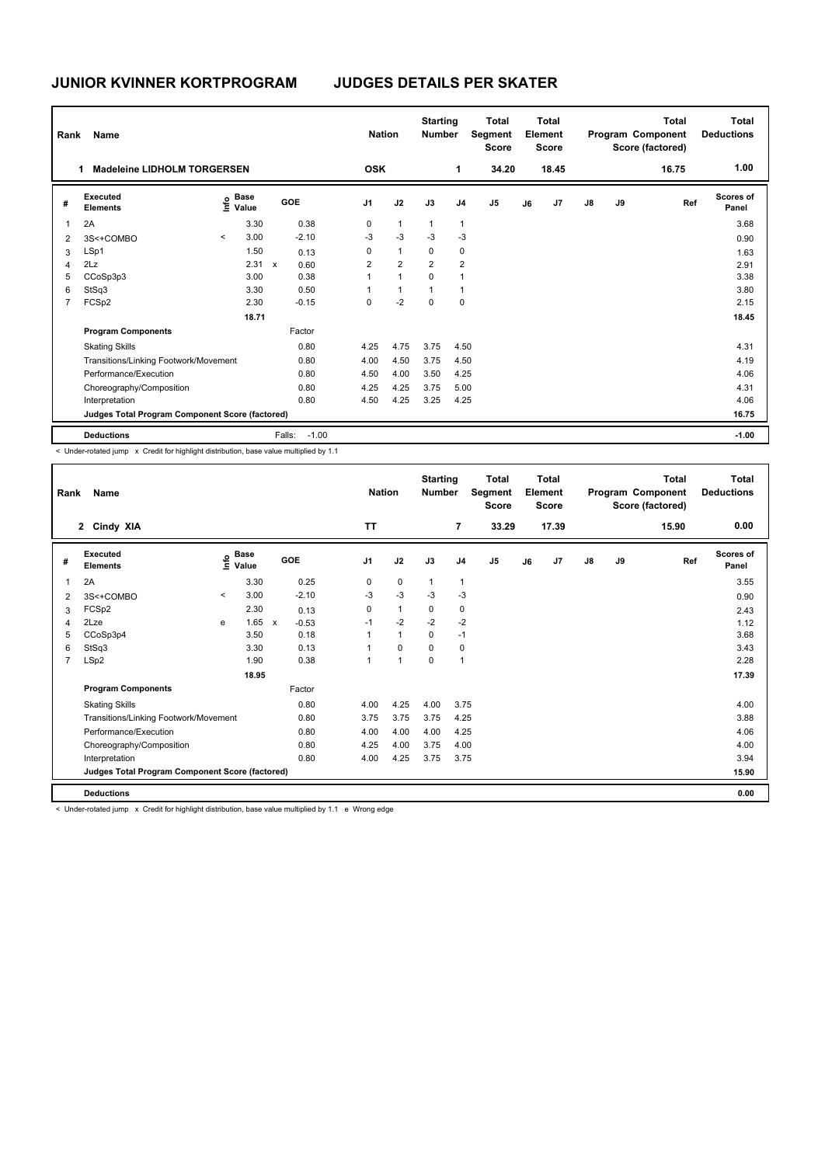| Rank           | Name                                            |         |                      |              |         | <b>Nation</b>  |                | <b>Starting</b><br><b>Number</b> |                | <b>Total</b><br>Segment<br><b>Score</b> |    | Total<br>Element<br><b>Score</b> |               |    | <b>Total</b><br>Program Component<br>Score (factored) | Total<br><b>Deductions</b> |
|----------------|-------------------------------------------------|---------|----------------------|--------------|---------|----------------|----------------|----------------------------------|----------------|-----------------------------------------|----|----------------------------------|---------------|----|-------------------------------------------------------|----------------------------|
|                | <b>Madeleine LIDHOLM TORGERSEN</b><br>1         |         |                      |              |         | <b>OSK</b>     |                |                                  | 1              | 34.20                                   |    | 18.45                            |               |    | 16.75                                                 | 1.00                       |
| #              | Executed<br><b>Elements</b>                     | lnfo    | <b>Base</b><br>Value |              | GOE     | J <sub>1</sub> | J2             | J3                               | J <sub>4</sub> | J <sub>5</sub>                          | J6 | J7                               | $\mathsf{J}8$ | J9 | Ref                                                   | Scores of<br>Panel         |
| 1              | 2A                                              |         | 3.30                 |              | 0.38    | 0              | $\mathbf{1}$   | $\mathbf{1}$                     | $\mathbf{1}$   |                                         |    |                                  |               |    |                                                       | 3.68                       |
| $\overline{2}$ | 3S<+COMBO                                       | $\prec$ | 3.00                 |              | $-2.10$ | $-3$           | $-3$           | $-3$                             | $-3$           |                                         |    |                                  |               |    |                                                       | 0.90                       |
| 3              | LSp1                                            |         | 1.50                 |              | 0.13    | 0              | $\mathbf{1}$   | 0                                | 0              |                                         |    |                                  |               |    |                                                       | 1.63                       |
| $\overline{4}$ | 2Lz                                             |         | 2.31                 | $\mathbf{x}$ | 0.60    | $\overline{2}$ | $\overline{2}$ | $\overline{2}$                   | $\overline{2}$ |                                         |    |                                  |               |    |                                                       | 2.91                       |
| 5              | CCoSp3p3                                        |         | 3.00                 |              | 0.38    | 1              | $\overline{1}$ | $\Omega$                         | $\overline{1}$ |                                         |    |                                  |               |    |                                                       | 3.38                       |
| 6              | StSq3                                           |         | 3.30                 |              | 0.50    | 1              | $\overline{1}$ | 1                                | $\overline{1}$ |                                         |    |                                  |               |    |                                                       | 3.80                       |
| $\overline{7}$ | FCSp2                                           |         | 2.30                 |              | $-0.15$ | 0              | $-2$           | $\Omega$                         | 0              |                                         |    |                                  |               |    |                                                       | 2.15                       |
|                |                                                 |         | 18.71                |              |         |                |                |                                  |                |                                         |    |                                  |               |    |                                                       | 18.45                      |
|                | <b>Program Components</b>                       |         |                      |              | Factor  |                |                |                                  |                |                                         |    |                                  |               |    |                                                       |                            |
|                | <b>Skating Skills</b>                           |         |                      |              | 0.80    | 4.25           | 4.75           | 3.75                             | 4.50           |                                         |    |                                  |               |    |                                                       | 4.31                       |
|                | Transitions/Linking Footwork/Movement           |         |                      |              | 0.80    | 4.00           | 4.50           | 3.75                             | 4.50           |                                         |    |                                  |               |    |                                                       | 4.19                       |
|                | Performance/Execution                           |         |                      |              | 0.80    | 4.50           | 4.00           | 3.50                             | 4.25           |                                         |    |                                  |               |    |                                                       | 4.06                       |
|                | Choreography/Composition                        |         |                      |              | 0.80    | 4.25           | 4.25           | 3.75                             | 5.00           |                                         |    |                                  |               |    |                                                       | 4.31                       |
|                | Interpretation                                  |         |                      |              | 0.80    | 4.50           | 4.25           | 3.25                             | 4.25           |                                         |    |                                  |               |    |                                                       | 4.06                       |
|                | Judges Total Program Component Score (factored) |         |                      |              |         |                |                |                                  |                |                                         |    |                                  |               |    |                                                       | 16.75                      |
|                | <b>Deductions</b>                               |         |                      | Falls:       | $-1.00$ |                |                |                                  |                |                                         |    |                                  |               |    |                                                       | $-1.00$                    |

< Under-rotated jump x Credit for highlight distribution, base value multiplied by 1.1

| Rank           | Name                                            |         |                                             |              |            |                | <b>Nation</b>  | <b>Starting</b><br><b>Number</b> |                | Total<br>Segment<br><b>Score</b> |    | Total<br>Element<br><b>Score</b> |               |    | <b>Total</b><br>Program Component<br>Score (factored) | <b>Total</b><br><b>Deductions</b> |
|----------------|-------------------------------------------------|---------|---------------------------------------------|--------------|------------|----------------|----------------|----------------------------------|----------------|----------------------------------|----|----------------------------------|---------------|----|-------------------------------------------------------|-----------------------------------|
|                | 2 Cindy XIA                                     |         |                                             |              |            | <b>TT</b>      |                |                                  | $\overline{7}$ | 33.29                            |    | 17.39                            |               |    | 15.90                                                 | 0.00                              |
| #              | Executed<br><b>Elements</b>                     |         | <b>Base</b><br>e <sup>Base</sup><br>⊆ Value |              | <b>GOE</b> | J <sub>1</sub> | J2             | J3                               | J <sub>4</sub> | J <sub>5</sub>                   | J6 | J7                               | $\mathsf{J}8$ | J9 | Ref                                                   | <b>Scores of</b><br>Panel         |
| 1              | 2A                                              |         | 3.30                                        |              | 0.25       | 0              | $\mathbf 0$    | $\mathbf{1}$                     | $\mathbf{1}$   |                                  |    |                                  |               |    |                                                       | 3.55                              |
| $\overline{2}$ | 3S<+COMBO                                       | $\prec$ | 3.00                                        |              | $-2.10$    | $-3$           | $-3$           | $-3$                             | $-3$           |                                  |    |                                  |               |    |                                                       | 0.90                              |
| 3              | FCSp2                                           |         | 2.30                                        |              | 0.13       | 0              | $\mathbf{1}$   | 0                                | 0              |                                  |    |                                  |               |    |                                                       | 2.43                              |
| 4              | 2Lze                                            | e       | 1.65                                        | $\mathsf{x}$ | $-0.53$    | $-1$           | $-2$           | $-2$                             | $-2$           |                                  |    |                                  |               |    |                                                       | 1.12                              |
| 5              | CCoSp3p4                                        |         | 3.50                                        |              | 0.18       | 1              | $\mathbf{1}$   | $\Omega$                         | $-1$           |                                  |    |                                  |               |    |                                                       | 3.68                              |
| 6              | StSq3                                           |         | 3.30                                        |              | 0.13       | 1              | $\Omega$       | $\Omega$                         | $\mathbf 0$    |                                  |    |                                  |               |    |                                                       | 3.43                              |
| $\overline{7}$ | LSp2                                            |         | 1.90                                        |              | 0.38       | 1              | $\overline{1}$ | $\mathbf 0$                      | $\overline{1}$ |                                  |    |                                  |               |    |                                                       | 2.28                              |
|                |                                                 |         | 18.95                                       |              |            |                |                |                                  |                |                                  |    |                                  |               |    |                                                       | 17.39                             |
|                | <b>Program Components</b>                       |         |                                             |              | Factor     |                |                |                                  |                |                                  |    |                                  |               |    |                                                       |                                   |
|                | <b>Skating Skills</b>                           |         |                                             |              | 0.80       | 4.00           | 4.25           | 4.00                             | 3.75           |                                  |    |                                  |               |    |                                                       | 4.00                              |
|                | Transitions/Linking Footwork/Movement           |         |                                             |              | 0.80       | 3.75           | 3.75           | 3.75                             | 4.25           |                                  |    |                                  |               |    |                                                       | 3.88                              |
|                | Performance/Execution                           |         |                                             |              | 0.80       | 4.00           | 4.00           | 4.00                             | 4.25           |                                  |    |                                  |               |    |                                                       | 4.06                              |
|                | Choreography/Composition                        |         |                                             |              | 0.80       | 4.25           | 4.00           | 3.75                             | 4.00           |                                  |    |                                  |               |    |                                                       | 4.00                              |
|                | Interpretation                                  |         |                                             |              | 0.80       | 4.00           | 4.25           | 3.75                             | 3.75           |                                  |    |                                  |               |    |                                                       | 3.94                              |
|                | Judges Total Program Component Score (factored) |         |                                             |              |            |                |                |                                  |                |                                  |    |                                  |               |    |                                                       | 15.90                             |
|                | <b>Deductions</b>                               |         |                                             |              |            |                |                |                                  |                |                                  |    |                                  |               |    |                                                       | 0.00                              |

< Under-rotated jump x Credit for highlight distribution, base value multiplied by 1.1 e Wrong edge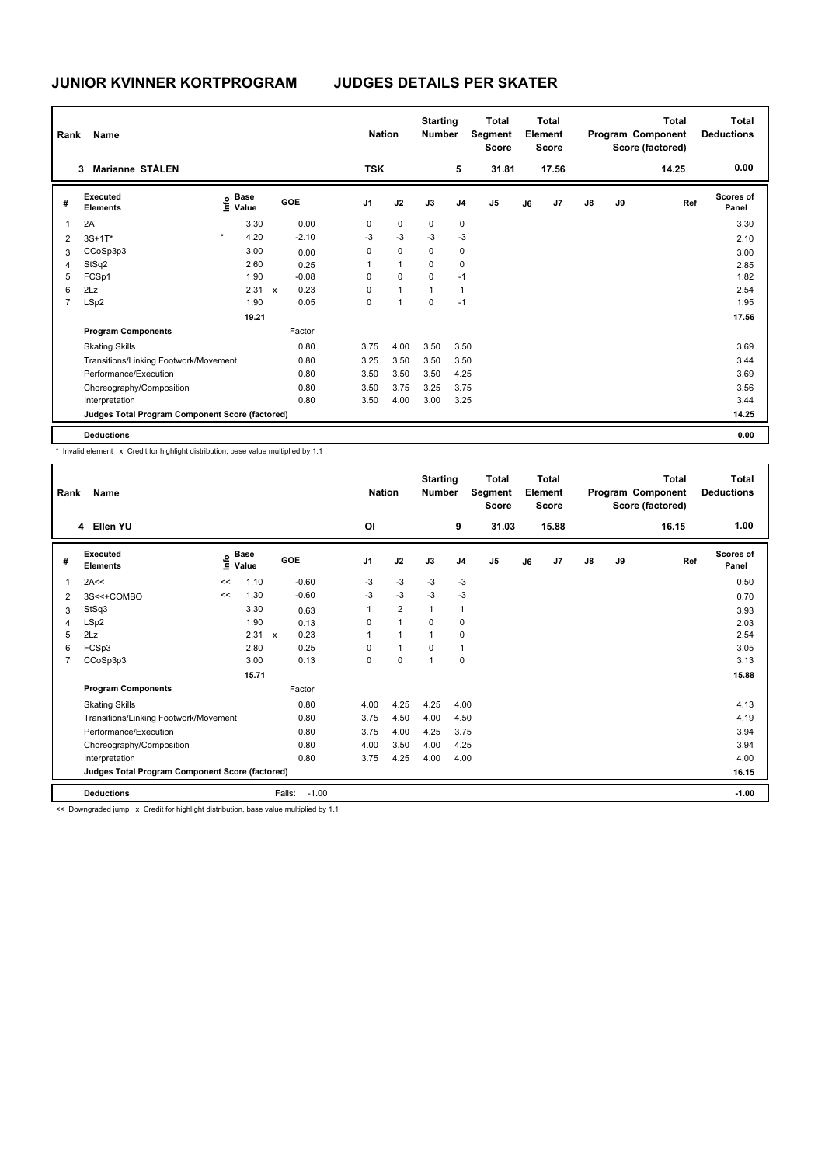| Rank           | Name                                            |                                             |       |              |         | <b>Nation</b>  |              | <b>Starting</b><br><b>Number</b> |                | <b>Total</b><br>Segment<br><b>Score</b> |    | <b>Total</b><br>Element<br><b>Score</b> |               |    | Total<br>Program Component<br>Score (factored) | Total<br><b>Deductions</b> |
|----------------|-------------------------------------------------|---------------------------------------------|-------|--------------|---------|----------------|--------------|----------------------------------|----------------|-----------------------------------------|----|-----------------------------------------|---------------|----|------------------------------------------------|----------------------------|
|                | Marianne STÅLEN<br>3                            |                                             |       |              |         | <b>TSK</b>     |              |                                  | 5              | 31.81                                   |    | 17.56                                   |               |    | 14.25                                          | 0.00                       |
| #              | Executed<br><b>Elements</b>                     | <b>Base</b><br>e <sup>Base</sup><br>⊆ Value |       |              | GOE     | J <sub>1</sub> | J2           | J3                               | J <sub>4</sub> | J <sub>5</sub>                          | J6 | J <sub>7</sub>                          | $\mathsf{J}8$ | J9 | Ref                                            | <b>Scores of</b><br>Panel  |
| $\mathbf{1}$   | 2A                                              |                                             | 3.30  |              | 0.00    | $\mathbf 0$    | $\mathbf 0$  | $\mathbf 0$                      | $\mathbf 0$    |                                         |    |                                         |               |    |                                                | 3.30                       |
| 2              | $3S+1T^*$                                       | $\star$                                     | 4.20  |              | $-2.10$ | $-3$           | $-3$         | $-3$                             | $-3$           |                                         |    |                                         |               |    |                                                | 2.10                       |
| 3              | CCoSp3p3                                        |                                             | 3.00  |              | 0.00    | 0              | $\mathbf 0$  | $\mathbf 0$                      | 0              |                                         |    |                                         |               |    |                                                | 3.00                       |
| $\overline{4}$ | StSq2                                           |                                             | 2.60  |              | 0.25    | 1              | $\mathbf{1}$ | $\mathbf 0$                      | $\mathbf 0$    |                                         |    |                                         |               |    |                                                | 2.85                       |
| 5              | FCSp1                                           |                                             | 1.90  |              | $-0.08$ | $\mathbf 0$    | $\mathbf 0$  | $\mathbf 0$                      | $-1$           |                                         |    |                                         |               |    |                                                | 1.82                       |
| 6              | 2Lz                                             |                                             | 2.31  | $\mathsf{x}$ | 0.23    | 0              | $\mathbf{1}$ | 1                                | $\overline{1}$ |                                         |    |                                         |               |    |                                                | 2.54                       |
| $\overline{7}$ | LSp2                                            |                                             | 1.90  |              | 0.05    | 0              | $\mathbf{1}$ | 0                                | $-1$           |                                         |    |                                         |               |    |                                                | 1.95                       |
|                |                                                 |                                             | 19.21 |              |         |                |              |                                  |                |                                         |    |                                         |               |    |                                                | 17.56                      |
|                | <b>Program Components</b>                       |                                             |       |              | Factor  |                |              |                                  |                |                                         |    |                                         |               |    |                                                |                            |
|                | <b>Skating Skills</b>                           |                                             |       |              | 0.80    | 3.75           | 4.00         | 3.50                             | 3.50           |                                         |    |                                         |               |    |                                                | 3.69                       |
|                | Transitions/Linking Footwork/Movement           |                                             |       |              | 0.80    | 3.25           | 3.50         | 3.50                             | 3.50           |                                         |    |                                         |               |    |                                                | 3.44                       |
|                | Performance/Execution                           |                                             |       |              | 0.80    | 3.50           | 3.50         | 3.50                             | 4.25           |                                         |    |                                         |               |    |                                                | 3.69                       |
|                | Choreography/Composition                        |                                             |       |              | 0.80    | 3.50           | 3.75         | 3.25                             | 3.75           |                                         |    |                                         |               |    |                                                | 3.56                       |
|                | Interpretation                                  |                                             |       |              | 0.80    | 3.50           | 4.00         | 3.00                             | 3.25           |                                         |    |                                         |               |    |                                                | 3.44                       |
|                | Judges Total Program Component Score (factored) |                                             |       |              |         |                |              |                                  |                |                                         |    |                                         |               |    |                                                | 14.25                      |
|                | <b>Deductions</b>                               |                                             |       |              |         |                |              |                                  |                |                                         |    |                                         |               |    |                                                | 0.00                       |

\* Invalid element x Credit for highlight distribution, base value multiplied by 1.1

| Rank           | Name                                            |    |                                  |                      | <b>Nation</b>  |                | <b>Starting</b><br><b>Number</b> |                | <b>Total</b><br>Segment<br><b>Score</b> |    | <b>Total</b><br>Element<br><b>Score</b> |               |    | <b>Total</b><br>Program Component<br>Score (factored) | Total<br><b>Deductions</b> |
|----------------|-------------------------------------------------|----|----------------------------------|----------------------|----------------|----------------|----------------------------------|----------------|-----------------------------------------|----|-----------------------------------------|---------------|----|-------------------------------------------------------|----------------------------|
|                | 4 Ellen YU                                      |    |                                  |                      | O <sub>l</sub> |                |                                  | 9              | 31.03                                   |    | 15.88                                   |               |    | 16.15                                                 | 1.00                       |
| #              | Executed<br><b>Elements</b>                     |    | <b>Base</b><br>e Base<br>⊆ Value | <b>GOE</b>           | J <sub>1</sub> | J2             | J3                               | J <sub>4</sub> | J5                                      | J6 | J7                                      | $\mathsf{J}8$ | J9 | Ref                                                   | <b>Scores of</b><br>Panel  |
| 1              | 2A<<                                            | << | 1.10                             | $-0.60$              | -3             | $-3$           | $-3$                             | $-3$           |                                         |    |                                         |               |    |                                                       | 0.50                       |
| 2              | 3S<<+COMBO                                      | << | 1.30                             | $-0.60$              | -3             | $-3$           | $-3$                             | $-3$           |                                         |    |                                         |               |    |                                                       | 0.70                       |
| 3              | StSq3                                           |    | 3.30                             | 0.63                 | 1              | $\overline{2}$ | $\mathbf{1}$                     | $\mathbf{1}$   |                                         |    |                                         |               |    |                                                       | 3.93                       |
| 4              | LSp2                                            |    | 1.90                             | 0.13                 | 0              | $\mathbf{1}$   | $\Omega$                         | 0              |                                         |    |                                         |               |    |                                                       | 2.03                       |
| 5              | 2Lz                                             |    | 2.31                             | 0.23<br>$\mathsf{x}$ | 1              | $\mathbf{1}$   | $\mathbf{1}$                     | 0              |                                         |    |                                         |               |    |                                                       | 2.54                       |
| 6              | FCSp3                                           |    | 2.80                             | 0.25                 | 0              | $\mathbf{1}$   | 0                                | $\mathbf{1}$   |                                         |    |                                         |               |    |                                                       | 3.05                       |
| $\overline{7}$ | CCoSp3p3                                        |    | 3.00                             | 0.13                 | 0              | $\mathbf 0$    | $\mathbf{1}$                     | $\mathbf 0$    |                                         |    |                                         |               |    |                                                       | 3.13                       |
|                |                                                 |    | 15.71                            |                      |                |                |                                  |                |                                         |    |                                         |               |    |                                                       | 15.88                      |
|                | <b>Program Components</b>                       |    |                                  | Factor               |                |                |                                  |                |                                         |    |                                         |               |    |                                                       |                            |
|                | <b>Skating Skills</b>                           |    |                                  | 0.80                 | 4.00           | 4.25           | 4.25                             | 4.00           |                                         |    |                                         |               |    |                                                       | 4.13                       |
|                | Transitions/Linking Footwork/Movement           |    |                                  | 0.80                 | 3.75           | 4.50           | 4.00                             | 4.50           |                                         |    |                                         |               |    |                                                       | 4.19                       |
|                | Performance/Execution                           |    |                                  | 0.80                 | 3.75           | 4.00           | 4.25                             | 3.75           |                                         |    |                                         |               |    |                                                       | 3.94                       |
|                | Choreography/Composition                        |    |                                  | 0.80                 | 4.00           | 3.50           | 4.00                             | 4.25           |                                         |    |                                         |               |    |                                                       | 3.94                       |
|                | Interpretation                                  |    |                                  | 0.80                 | 3.75           | 4.25           | 4.00                             | 4.00           |                                         |    |                                         |               |    |                                                       | 4.00                       |
|                | Judges Total Program Component Score (factored) |    |                                  |                      |                |                |                                  |                |                                         |    |                                         |               |    |                                                       | 16.15                      |
|                | <b>Deductions</b>                               |    |                                  | Falls:<br>$-1.00$    |                |                |                                  |                |                                         |    |                                         |               |    |                                                       | $-1.00$                    |

<< Downgraded jump x Credit for highlight distribution, base value multiplied by 1.1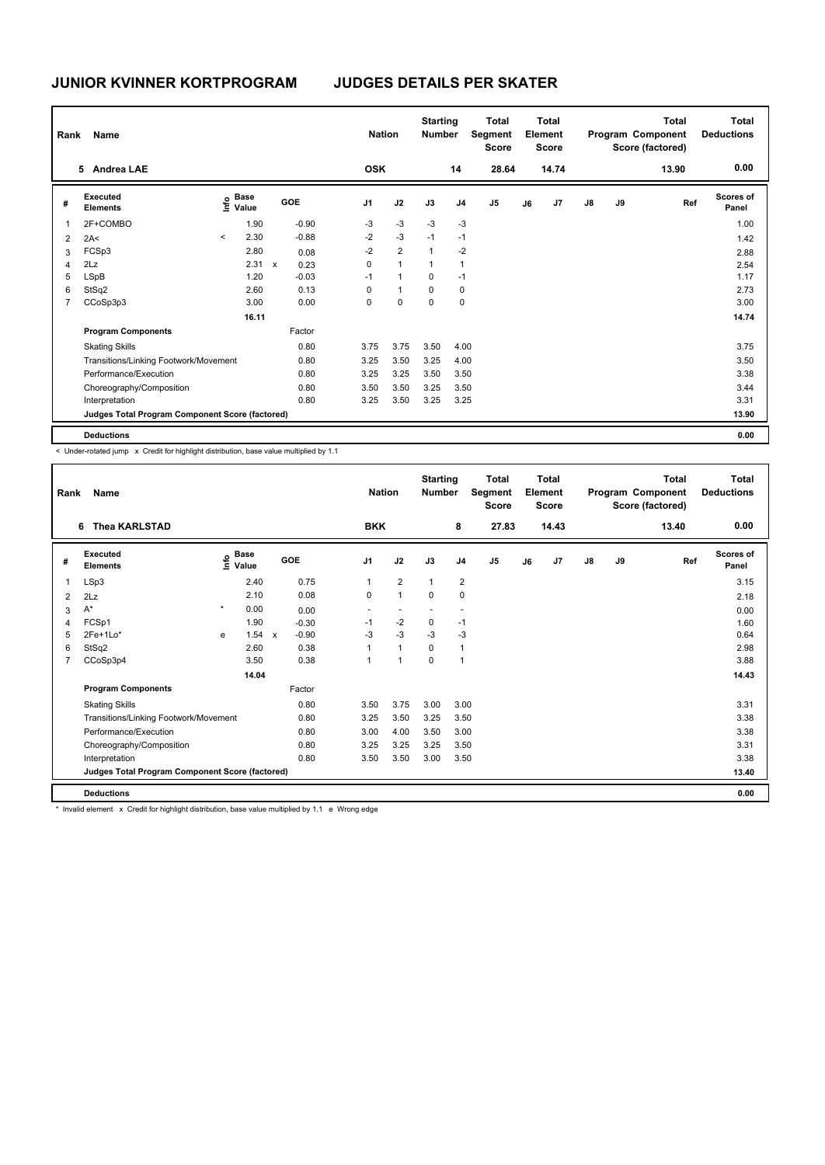| Rank           | Name                                            |         |                                  |              |         | <b>Nation</b>  |                | <b>Starting</b><br><b>Number</b> |                | <b>Total</b><br>Segment<br><b>Score</b> |    | <b>Total</b><br>Element<br><b>Score</b> |               |    | Total<br>Program Component<br>Score (factored) | Total<br><b>Deductions</b> |
|----------------|-------------------------------------------------|---------|----------------------------------|--------------|---------|----------------|----------------|----------------------------------|----------------|-----------------------------------------|----|-----------------------------------------|---------------|----|------------------------------------------------|----------------------------|
|                | <b>Andrea LAE</b><br>5                          |         |                                  |              |         | <b>OSK</b>     |                |                                  | 14             | 28.64                                   |    | 14.74                                   |               |    | 13.90                                          | 0.00                       |
| #              | Executed<br><b>Elements</b>                     |         | <b>Base</b><br>e Base<br>⊆ Value |              | GOE     | J <sub>1</sub> | J2             | J3                               | J <sub>4</sub> | J <sub>5</sub>                          | J6 | J <sub>7</sub>                          | $\mathsf{J}8$ | J9 | Ref                                            | Scores of<br>Panel         |
| 1              | 2F+COMBO                                        |         | 1.90                             |              | $-0.90$ | $-3$           | $-3$           | $-3$                             | $-3$           |                                         |    |                                         |               |    |                                                | 1.00                       |
| 2              | 2A<                                             | $\prec$ | 2.30                             |              | $-0.88$ | $-2$           | $-3$           | $-1$                             | $-1$           |                                         |    |                                         |               |    |                                                | 1.42                       |
| 3              | FCSp3                                           |         | 2.80                             |              | 0.08    | $-2$           | $\overline{2}$ | $\overline{1}$                   | $-2$           |                                         |    |                                         |               |    |                                                | 2.88                       |
| $\overline{4}$ | 2Lz                                             |         | 2.31                             | $\mathsf{x}$ | 0.23    | 0              | $\mathbf{1}$   | 1                                | $\overline{1}$ |                                         |    |                                         |               |    |                                                | 2.54                       |
| 5              | <b>LSpB</b>                                     |         | 1.20                             |              | $-0.03$ | $-1$           | $\mathbf{1}$   | 0                                | $-1$           |                                         |    |                                         |               |    |                                                | 1.17                       |
| 6              | StSq2                                           |         | 2.60                             |              | 0.13    | 0              | $\mathbf{1}$   | $\mathbf 0$                      | 0              |                                         |    |                                         |               |    |                                                | 2.73                       |
| $\overline{7}$ | CCoSp3p3                                        |         | 3.00                             |              | 0.00    | 0              | $\mathbf 0$    | $\mathbf 0$                      | 0              |                                         |    |                                         |               |    |                                                | 3.00                       |
|                |                                                 |         | 16.11                            |              |         |                |                |                                  |                |                                         |    |                                         |               |    |                                                | 14.74                      |
|                | <b>Program Components</b>                       |         |                                  |              | Factor  |                |                |                                  |                |                                         |    |                                         |               |    |                                                |                            |
|                | <b>Skating Skills</b>                           |         |                                  |              | 0.80    | 3.75           | 3.75           | 3.50                             | 4.00           |                                         |    |                                         |               |    |                                                | 3.75                       |
|                | Transitions/Linking Footwork/Movement           |         |                                  |              | 0.80    | 3.25           | 3.50           | 3.25                             | 4.00           |                                         |    |                                         |               |    |                                                | 3.50                       |
|                | Performance/Execution                           |         |                                  |              | 0.80    | 3.25           | 3.25           | 3.50                             | 3.50           |                                         |    |                                         |               |    |                                                | 3.38                       |
|                | Choreography/Composition                        |         |                                  |              | 0.80    | 3.50           | 3.50           | 3.25                             | 3.50           |                                         |    |                                         |               |    |                                                | 3.44                       |
|                | Interpretation                                  |         |                                  |              | 0.80    | 3.25           | 3.50           | 3.25                             | 3.25           |                                         |    |                                         |               |    |                                                | 3.31                       |
|                | Judges Total Program Component Score (factored) |         |                                  |              |         |                |                |                                  |                |                                         |    |                                         |               |    |                                                | 13.90                      |
|                | <b>Deductions</b>                               |         |                                  |              |         |                |                |                                  |                |                                         |    |                                         |               |    |                                                | 0.00                       |

< Under-rotated jump x Credit for highlight distribution, base value multiplied by 1.1

| Rank           | Name                                            |         |                                  |              |         |                | <b>Nation</b>  | <b>Starting</b><br><b>Number</b> |                         | <b>Total</b><br>Segment<br><b>Score</b> |    | Total<br>Element<br><b>Score</b> |               |    | Total<br>Program Component<br>Score (factored) | Total<br><b>Deductions</b> |
|----------------|-------------------------------------------------|---------|----------------------------------|--------------|---------|----------------|----------------|----------------------------------|-------------------------|-----------------------------------------|----|----------------------------------|---------------|----|------------------------------------------------|----------------------------|
|                | <b>Thea KARLSTAD</b><br>6                       |         |                                  |              |         | <b>BKK</b>     |                |                                  | 8                       | 27.83                                   |    | 14.43                            |               |    | 13.40                                          | 0.00                       |
| #              | Executed<br><b>Elements</b>                     |         | <b>Base</b><br>e Base<br>⊆ Value |              | GOE     | J <sub>1</sub> | J2             | J3                               | J <sub>4</sub>          | J <sub>5</sub>                          | J6 | J7                               | $\mathsf{J}8$ | J9 | Ref                                            | <b>Scores of</b><br>Panel  |
| 1              | LSp3                                            |         | 2.40                             |              | 0.75    | 1              | $\overline{2}$ | $\mathbf{1}$                     | $\overline{\mathbf{c}}$ |                                         |    |                                  |               |    |                                                | 3.15                       |
| $\overline{2}$ | 2Lz                                             |         | 2.10                             |              | 0.08    | $\mathbf 0$    | $\mathbf{1}$   | $\mathbf 0$                      | $\mathbf 0$             |                                         |    |                                  |               |    |                                                | 2.18                       |
| 3              | $A^*$                                           | $\star$ | 0.00                             |              | 0.00    | ٠              | ٠              | $\sim$                           | ٠.                      |                                         |    |                                  |               |    |                                                | 0.00                       |
| 4              | FCSp1                                           |         | 1.90                             |              | $-0.30$ | $-1$           | $-2$           | 0                                | $-1$                    |                                         |    |                                  |               |    |                                                | 1.60                       |
| 5              | $2Fe+1Lo*$                                      | e       | 1.54                             | $\mathsf{x}$ | $-0.90$ | -3             | $-3$           | $-3$                             | $-3$                    |                                         |    |                                  |               |    |                                                | 0.64                       |
| 6              | StSq2                                           |         | 2.60                             |              | 0.38    |                | $\mathbf{1}$   | $\mathbf 0$                      | $\mathbf{1}$            |                                         |    |                                  |               |    |                                                | 2.98                       |
| $\overline{7}$ | CCoSp3p4                                        |         | 3.50                             |              | 0.38    |                | $\mathbf{1}$   | $\mathbf 0$                      | $\mathbf{1}$            |                                         |    |                                  |               |    |                                                | 3.88                       |
|                |                                                 |         | 14.04                            |              |         |                |                |                                  |                         |                                         |    |                                  |               |    |                                                | 14.43                      |
|                | <b>Program Components</b>                       |         |                                  |              | Factor  |                |                |                                  |                         |                                         |    |                                  |               |    |                                                |                            |
|                | <b>Skating Skills</b>                           |         |                                  |              | 0.80    | 3.50           | 3.75           | 3.00                             | 3.00                    |                                         |    |                                  |               |    |                                                | 3.31                       |
|                | Transitions/Linking Footwork/Movement           |         |                                  |              | 0.80    | 3.25           | 3.50           | 3.25                             | 3.50                    |                                         |    |                                  |               |    |                                                | 3.38                       |
|                | Performance/Execution                           |         |                                  |              | 0.80    | 3.00           | 4.00           | 3.50                             | 3.00                    |                                         |    |                                  |               |    |                                                | 3.38                       |
|                | Choreography/Composition                        |         |                                  |              | 0.80    | 3.25           | 3.25           | 3.25                             | 3.50                    |                                         |    |                                  |               |    |                                                | 3.31                       |
|                | Interpretation                                  |         |                                  |              | 0.80    | 3.50           | 3.50           | 3.00                             | 3.50                    |                                         |    |                                  |               |    |                                                | 3.38                       |
|                | Judges Total Program Component Score (factored) |         |                                  |              |         |                |                |                                  |                         |                                         |    |                                  |               |    |                                                | 13.40                      |
|                | <b>Deductions</b>                               |         |                                  |              |         |                |                |                                  |                         |                                         |    |                                  |               |    |                                                | 0.00                       |

\* Invalid element x Credit for highlight distribution, base value multiplied by 1.1 e Wrong edge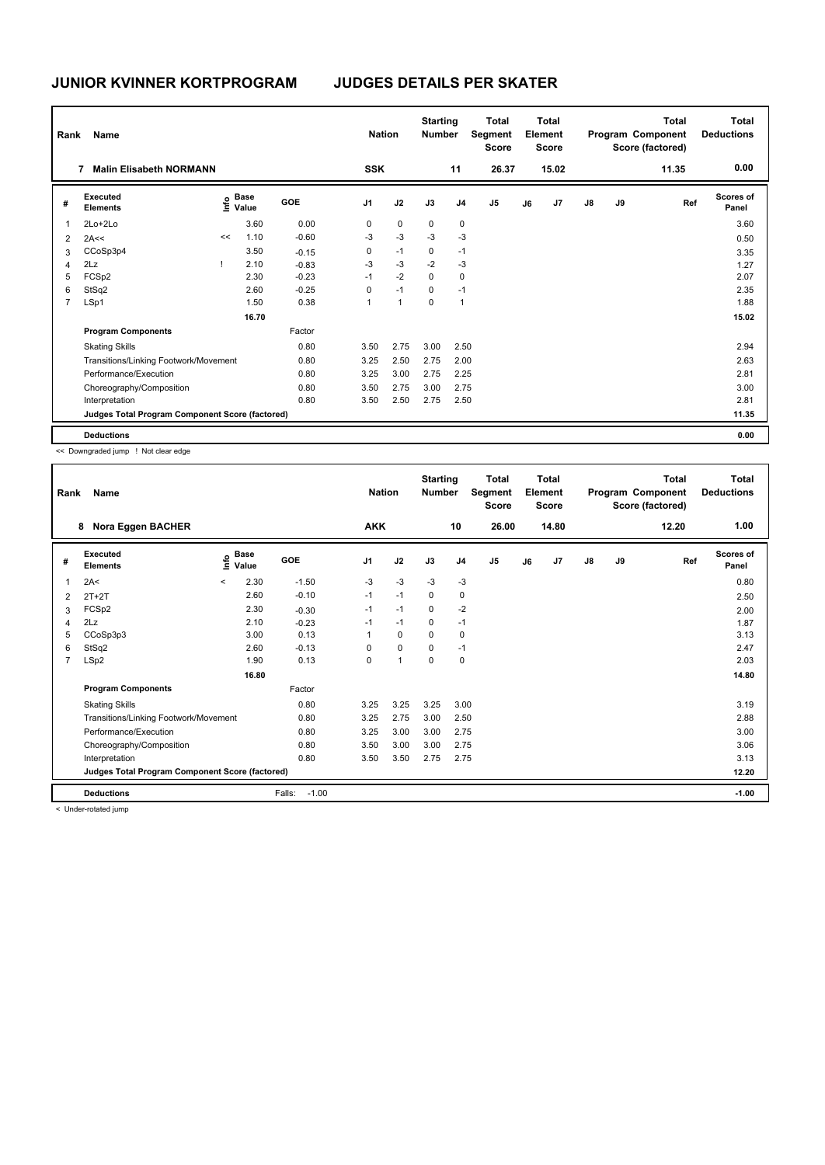| Rank           | Name                                            |    |                                             |         | <b>Nation</b>  |              | <b>Starting</b><br><b>Number</b> |                | <b>Total</b><br>Segment<br><b>Score</b> |    | Total<br>Element<br><b>Score</b> |               |    | Total<br>Program Component<br>Score (factored) | Total<br><b>Deductions</b> |
|----------------|-------------------------------------------------|----|---------------------------------------------|---------|----------------|--------------|----------------------------------|----------------|-----------------------------------------|----|----------------------------------|---------------|----|------------------------------------------------|----------------------------|
|                | <b>Malin Elisabeth NORMANN</b><br>7             |    |                                             |         | <b>SSK</b>     |              |                                  | 11             | 26.37                                   |    | 15.02                            |               |    | 11.35                                          | 0.00                       |
| #              | Executed<br><b>Elements</b>                     |    | <b>Base</b><br>e <sup>Base</sup><br>⊆ Value | GOE     | J <sub>1</sub> | J2           | J3                               | J <sub>4</sub> | J <sub>5</sub>                          | J6 | J7                               | $\mathsf{J}8$ | J9 | Ref                                            | Scores of<br>Panel         |
| 1              | $2Lo+2Lo$                                       |    | 3.60                                        | 0.00    | 0              | $\mathbf 0$  | 0                                | 0              |                                         |    |                                  |               |    |                                                | 3.60                       |
| $\overline{2}$ | 2A<<                                            | << | 1.10                                        | $-0.60$ | $-3$           | $-3$         | $-3$                             | $-3$           |                                         |    |                                  |               |    |                                                | 0.50                       |
| 3              | CCoSp3p4                                        |    | 3.50                                        | $-0.15$ | 0              | $-1$         | 0                                | $-1$           |                                         |    |                                  |               |    |                                                | 3.35                       |
| 4              | 2Lz                                             |    | 2.10                                        | $-0.83$ | $-3$           | $-3$         | $-2$                             | $-3$           |                                         |    |                                  |               |    |                                                | 1.27                       |
| 5              | FCSp2                                           |    | 2.30                                        | $-0.23$ | $-1$           | $-2$         | $\mathbf 0$                      | $\mathbf 0$    |                                         |    |                                  |               |    |                                                | 2.07                       |
| 6              | StSq2                                           |    | 2.60                                        | $-0.25$ | 0              | $-1$         | 0                                | $-1$           |                                         |    |                                  |               |    |                                                | 2.35                       |
| $\overline{7}$ | LSp1                                            |    | 1.50                                        | 0.38    | 1              | $\mathbf{1}$ | $\mathbf 0$                      | $\mathbf 1$    |                                         |    |                                  |               |    |                                                | 1.88                       |
|                |                                                 |    | 16.70                                       |         |                |              |                                  |                |                                         |    |                                  |               |    |                                                | 15.02                      |
|                | <b>Program Components</b>                       |    |                                             | Factor  |                |              |                                  |                |                                         |    |                                  |               |    |                                                |                            |
|                | <b>Skating Skills</b>                           |    |                                             | 0.80    | 3.50           | 2.75         | 3.00                             | 2.50           |                                         |    |                                  |               |    |                                                | 2.94                       |
|                | Transitions/Linking Footwork/Movement           |    |                                             | 0.80    | 3.25           | 2.50         | 2.75                             | 2.00           |                                         |    |                                  |               |    |                                                | 2.63                       |
|                | Performance/Execution                           |    |                                             | 0.80    | 3.25           | 3.00         | 2.75                             | 2.25           |                                         |    |                                  |               |    |                                                | 2.81                       |
|                | Choreography/Composition                        |    |                                             | 0.80    | 3.50           | 2.75         | 3.00                             | 2.75           |                                         |    |                                  |               |    |                                                | 3.00                       |
|                | Interpretation                                  |    |                                             | 0.80    | 3.50           | 2.50         | 2.75                             | 2.50           |                                         |    |                                  |               |    |                                                | 2.81                       |
|                | Judges Total Program Component Score (factored) |    |                                             |         |                |              |                                  |                |                                         |    |                                  |               |    |                                                | 11.35                      |
|                | <b>Deductions</b>                               |    |                                             |         |                |              |                                  |                |                                         |    |                                  |               |    |                                                | 0.00                       |

<< Downgraded jump ! Not clear edge

| Rank           | Name                                            |         |               |                   | <b>Nation</b>  |              | <b>Starting</b><br><b>Number</b> |                | <b>Total</b><br>Segment<br><b>Score</b> |    | <b>Total</b><br>Element<br><b>Score</b> |               |    | Total<br>Program Component<br>Score (factored) | Total<br><b>Deductions</b> |
|----------------|-------------------------------------------------|---------|---------------|-------------------|----------------|--------------|----------------------------------|----------------|-----------------------------------------|----|-----------------------------------------|---------------|----|------------------------------------------------|----------------------------|
|                | Nora Eggen BACHER<br>8                          |         |               |                   | <b>AKK</b>     |              |                                  | 10             | 26.00                                   |    | 14.80                                   |               |    | 12.20                                          | 1.00                       |
| #              | Executed<br><b>Elements</b>                     | lnfo    | Base<br>Value | GOE               | J <sub>1</sub> | J2           | J3                               | J <sub>4</sub> | J <sub>5</sub>                          | J6 | J7                                      | $\mathsf{J}8$ | J9 | Ref                                            | <b>Scores of</b><br>Panel  |
| 1              | 2A<                                             | $\prec$ | 2.30          | $-1.50$           | $-3$           | $-3$         | $-3$                             | $-3$           |                                         |    |                                         |               |    |                                                | 0.80                       |
| $\overline{2}$ | $2T+2T$                                         |         | 2.60          | $-0.10$           | $-1$           | $-1$         | $\mathbf 0$                      | $\mathbf 0$    |                                         |    |                                         |               |    |                                                | 2.50                       |
| 3              | FCSp2                                           |         | 2.30          | $-0.30$           | $-1$           | $-1$         | 0                                | $-2$           |                                         |    |                                         |               |    |                                                | 2.00                       |
| $\overline{4}$ | 2Lz                                             |         | 2.10          | $-0.23$           | $-1$           | $-1$         | 0                                | $-1$           |                                         |    |                                         |               |    |                                                | 1.87                       |
| 5              | CCoSp3p3                                        |         | 3.00          | 0.13              |                | $\Omega$     | $\Omega$                         | $\mathbf 0$    |                                         |    |                                         |               |    |                                                | 3.13                       |
| 6              | StSq2                                           |         | 2.60          | $-0.13$           | 0              | $\mathbf 0$  | 0                                | $-1$           |                                         |    |                                         |               |    |                                                | 2.47                       |
| 7              | LSp2                                            |         | 1.90          | 0.13              | $\mathbf 0$    | $\mathbf{1}$ | $\mathbf 0$                      | $\mathbf 0$    |                                         |    |                                         |               |    |                                                | 2.03                       |
|                |                                                 |         | 16.80         |                   |                |              |                                  |                |                                         |    |                                         |               |    |                                                | 14.80                      |
|                | <b>Program Components</b>                       |         |               | Factor            |                |              |                                  |                |                                         |    |                                         |               |    |                                                |                            |
|                | <b>Skating Skills</b>                           |         |               | 0.80              | 3.25           | 3.25         | 3.25                             | 3.00           |                                         |    |                                         |               |    |                                                | 3.19                       |
|                | Transitions/Linking Footwork/Movement           |         |               | 0.80              | 3.25           | 2.75         | 3.00                             | 2.50           |                                         |    |                                         |               |    |                                                | 2.88                       |
|                | Performance/Execution                           |         |               | 0.80              | 3.25           | 3.00         | 3.00                             | 2.75           |                                         |    |                                         |               |    |                                                | 3.00                       |
|                | Choreography/Composition                        |         |               | 0.80              | 3.50           | 3.00         | 3.00                             | 2.75           |                                         |    |                                         |               |    |                                                | 3.06                       |
|                | Interpretation                                  |         |               | 0.80              | 3.50           | 3.50         | 2.75                             | 2.75           |                                         |    |                                         |               |    |                                                | 3.13                       |
|                | Judges Total Program Component Score (factored) |         |               |                   |                |              |                                  |                |                                         |    |                                         |               |    |                                                | 12.20                      |
|                | <b>Deductions</b>                               |         |               | Falls:<br>$-1.00$ |                |              |                                  |                |                                         |    |                                         |               |    |                                                | $-1.00$                    |

< Under-rotated jump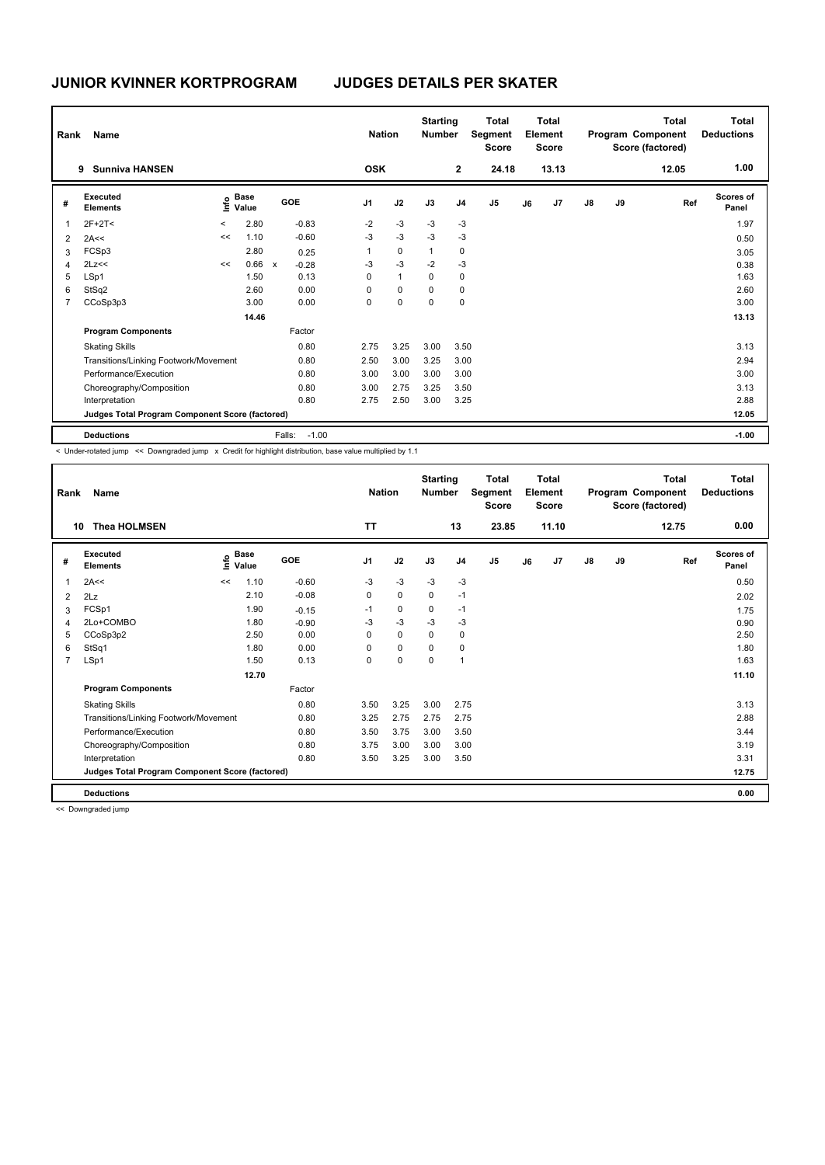| Rank           | Name                                            |         |                      |              |            | <b>Nation</b>  |              | <b>Starting</b><br><b>Number</b> |                | <b>Total</b><br>Segment<br><b>Score</b> |    | Total<br>Element<br><b>Score</b> |               |    | Total<br>Program Component<br>Score (factored) | Total<br><b>Deductions</b> |
|----------------|-------------------------------------------------|---------|----------------------|--------------|------------|----------------|--------------|----------------------------------|----------------|-----------------------------------------|----|----------------------------------|---------------|----|------------------------------------------------|----------------------------|
|                | <b>Sunniva HANSEN</b><br>9                      |         |                      |              |            | <b>OSK</b>     |              |                                  | $\mathbf{2}$   | 24.18                                   |    | 13.13                            |               |    | 12.05                                          | 1.00                       |
| #              | Executed<br><b>Elements</b>                     | lnfo    | <b>Base</b><br>Value |              | <b>GOE</b> | J <sub>1</sub> | J2           | J3                               | J <sub>4</sub> | J <sub>5</sub>                          | J6 | J <sub>7</sub>                   | $\mathsf{J}8$ | J9 | Ref                                            | Scores of<br>Panel         |
| 1              | $2F+2T<$                                        | $\prec$ | 2.80                 |              | $-0.83$    | $-2$           | $-3$         | $-3$                             | $-3$           |                                         |    |                                  |               |    |                                                | 1.97                       |
| $\overline{2}$ | 2A<<                                            | <<      | 1.10                 |              | $-0.60$    | $-3$           | $-3$         | $-3$                             | $-3$           |                                         |    |                                  |               |    |                                                | 0.50                       |
| 3              | FCSp3                                           |         | 2.80                 |              | 0.25       | 1              | $\mathbf 0$  | $\mathbf{1}$                     | 0              |                                         |    |                                  |               |    |                                                | 3.05                       |
| $\overline{4}$ | 2Lz<<                                           | <<      | 0.66                 | $\mathsf{x}$ | $-0.28$    | $-3$           | $-3$         | $-2$                             | $-3$           |                                         |    |                                  |               |    |                                                | 0.38                       |
| 5              | LSp1                                            |         | 1.50                 |              | 0.13       | 0              | $\mathbf{1}$ | 0                                | 0              |                                         |    |                                  |               |    |                                                | 1.63                       |
| 6              | StSq2                                           |         | 2.60                 |              | 0.00       | 0              | $\mathbf 0$  | $\Omega$                         | 0              |                                         |    |                                  |               |    |                                                | 2.60                       |
| 7              | CCoSp3p3                                        |         | 3.00                 |              | 0.00       | 0              | $\mathbf 0$  | $\mathbf 0$                      | 0              |                                         |    |                                  |               |    |                                                | 3.00                       |
|                |                                                 |         | 14.46                |              |            |                |              |                                  |                |                                         |    |                                  |               |    |                                                | 13.13                      |
|                | <b>Program Components</b>                       |         |                      |              | Factor     |                |              |                                  |                |                                         |    |                                  |               |    |                                                |                            |
|                | <b>Skating Skills</b>                           |         |                      |              | 0.80       | 2.75           | 3.25         | 3.00                             | 3.50           |                                         |    |                                  |               |    |                                                | 3.13                       |
|                | Transitions/Linking Footwork/Movement           |         |                      |              | 0.80       | 2.50           | 3.00         | 3.25                             | 3.00           |                                         |    |                                  |               |    |                                                | 2.94                       |
|                | Performance/Execution                           |         |                      |              | 0.80       | 3.00           | 3.00         | 3.00                             | 3.00           |                                         |    |                                  |               |    |                                                | 3.00                       |
|                | Choreography/Composition                        |         |                      |              | 0.80       | 3.00           | 2.75         | 3.25                             | 3.50           |                                         |    |                                  |               |    |                                                | 3.13                       |
|                | Interpretation                                  |         |                      |              | 0.80       | 2.75           | 2.50         | 3.00                             | 3.25           |                                         |    |                                  |               |    |                                                | 2.88                       |
|                | Judges Total Program Component Score (factored) |         |                      |              |            |                |              |                                  |                |                                         |    |                                  |               |    |                                                | 12.05                      |
|                | <b>Deductions</b>                               |         |                      | Falls:       | $-1.00$    |                |              |                                  |                |                                         |    |                                  |               |    |                                                | $-1.00$                    |

< Under-rotated jump << Downgraded jump x Credit for highlight distribution, base value multiplied by 1.1

| Rank | Name                                            |    |                      |         | <b>Nation</b>  |             | <b>Starting</b><br><b>Number</b> |                | <b>Total</b><br>Segment<br><b>Score</b> |    | <b>Total</b><br>Element<br><b>Score</b> |               |    | <b>Total</b><br>Program Component<br>Score (factored) | <b>Total</b><br><b>Deductions</b> |
|------|-------------------------------------------------|----|----------------------|---------|----------------|-------------|----------------------------------|----------------|-----------------------------------------|----|-----------------------------------------|---------------|----|-------------------------------------------------------|-----------------------------------|
| 10   | <b>Thea HOLMSEN</b>                             |    |                      |         | <b>TT</b>      |             |                                  | 13             | 23.85                                   |    | 11.10                                   |               |    | 12.75                                                 | 0.00                              |
| #    | Executed<br><b>Elements</b>                     | ۴  | <b>Base</b><br>Value | GOE     | J <sub>1</sub> | J2          | J3                               | J <sub>4</sub> | J <sub>5</sub>                          | J6 | J7                                      | $\mathsf{J}8$ | J9 | Ref                                                   | <b>Scores of</b><br>Panel         |
| 1    | 2A<<                                            | << | 1.10                 | $-0.60$ | -3             | $-3$        | $-3$                             | $-3$           |                                         |    |                                         |               |    |                                                       | 0.50                              |
| 2    | 2Lz                                             |    | 2.10                 | $-0.08$ | 0              | $\mathbf 0$ | $\mathbf 0$                      | $-1$           |                                         |    |                                         |               |    |                                                       | 2.02                              |
| 3    | FCSp1                                           |    | 1.90                 | $-0.15$ | $-1$           | $\mathbf 0$ | 0                                | $-1$           |                                         |    |                                         |               |    |                                                       | 1.75                              |
| 4    | 2Lo+COMBO                                       |    | 1.80                 | $-0.90$ | $-3$           | $-3$        | $-3$                             | $-3$           |                                         |    |                                         |               |    |                                                       | 0.90                              |
| 5    | CCoSp3p2                                        |    | 2.50                 | 0.00    | 0              | $\mathbf 0$ | $\mathbf 0$                      | $\pmb{0}$      |                                         |    |                                         |               |    |                                                       | 2.50                              |
| 6    | StSq1                                           |    | 1.80                 | 0.00    | 0              | $\mathbf 0$ | $\Omega$                         | 0              |                                         |    |                                         |               |    |                                                       | 1.80                              |
| 7    | LSp1                                            |    | 1.50                 | 0.13    | 0              | $\mathbf 0$ | $\Omega$                         | $\mathbf{1}$   |                                         |    |                                         |               |    |                                                       | 1.63                              |
|      |                                                 |    | 12.70                |         |                |             |                                  |                |                                         |    |                                         |               |    |                                                       | 11.10                             |
|      | <b>Program Components</b>                       |    |                      | Factor  |                |             |                                  |                |                                         |    |                                         |               |    |                                                       |                                   |
|      | <b>Skating Skills</b>                           |    |                      | 0.80    | 3.50           | 3.25        | 3.00                             | 2.75           |                                         |    |                                         |               |    |                                                       | 3.13                              |
|      | Transitions/Linking Footwork/Movement           |    |                      | 0.80    | 3.25           | 2.75        | 2.75                             | 2.75           |                                         |    |                                         |               |    |                                                       | 2.88                              |
|      | Performance/Execution                           |    |                      | 0.80    | 3.50           | 3.75        | 3.00                             | 3.50           |                                         |    |                                         |               |    |                                                       | 3.44                              |
|      | Choreography/Composition                        |    |                      | 0.80    | 3.75           | 3.00        | 3.00                             | 3.00           |                                         |    |                                         |               |    |                                                       | 3.19                              |
|      | Interpretation                                  |    |                      | 0.80    | 3.50           | 3.25        | 3.00                             | 3.50           |                                         |    |                                         |               |    |                                                       | 3.31                              |
|      | Judges Total Program Component Score (factored) |    |                      |         |                |             |                                  |                |                                         |    |                                         |               |    |                                                       | 12.75                             |
|      | <b>Deductions</b>                               |    |                      |         |                |             |                                  |                |                                         |    |                                         |               |    |                                                       | 0.00                              |

<< Downgraded jump